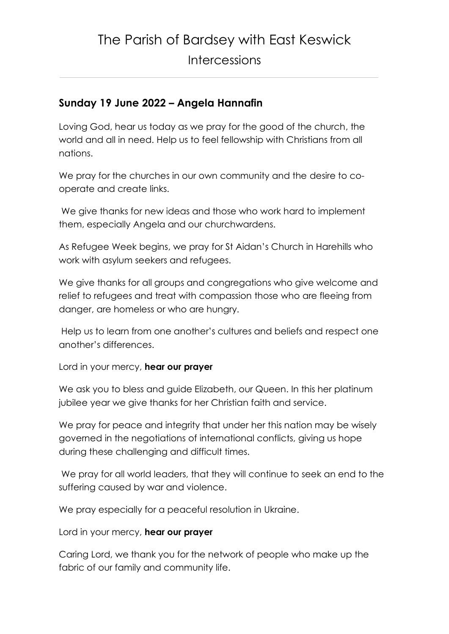## **Sunday 19 June 2022 – Angela Hannafin**

Loving God, hear us today as we pray for the good of the church, the world and all in need. Help us to feel fellowship with Christians from all nations.

We pray for the churches in our own community and the desire to cooperate and create links.

We give thanks for new ideas and those who work hard to implement them, especially Angela and our churchwardens.

As Refugee Week begins, we pray for St Aidan's Church in Harehills who work with asylum seekers and refugees.

We give thanks for all groups and congregations who give welcome and relief to refugees and treat with compassion those who are fleeing from danger, are homeless or who are hungry.

Help us to learn from one another's cultures and beliefs and respect one another's differences.

Lord in your mercy, **hear our prayer**

We ask you to bless and guide Elizabeth, our Queen. In this her platinum jubilee year we give thanks for her Christian faith and service.

We pray for peace and integrity that under her this nation may be wisely governed in the negotiations of international conflicts, giving us hope during these challenging and difficult times.

We pray for all world leaders, that they will continue to seek an end to the suffering caused by war and violence.

We pray especially for a peaceful resolution in Ukraine.

Lord in your mercy, **hear our prayer**

Caring Lord, we thank you for the network of people who make up the fabric of our family and community life.